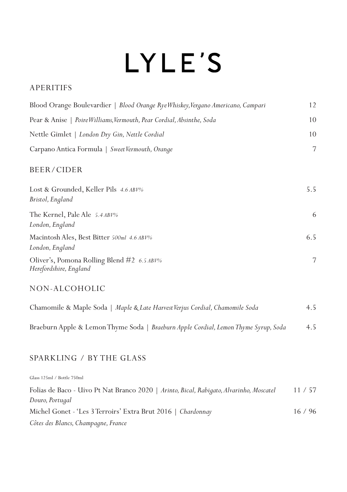# LYLE'S

#### APERITIFS

| Blood Orange Boulevardier   Blood Orange Rye Whiskey, Vergano Americano, Campari | 12  |
|----------------------------------------------------------------------------------|-----|
| Pear & Anise   Poire Williams, Vermouth, Pear Cordial, Absinthe, Soda            | 10  |
| Nettle Gimlet   London Dry Gin, Nettle Cordial                                   | 10  |
| Carpano Antica Formula   Sweet Vermouth, Orange                                  | 7   |
| BEER/CIDER                                                                       |     |
| Lost & Grounded, Keller Pils 4.6 ABV%<br>Bristol, England                        | 5.5 |
| The Kernel, Pale Ale 5.4 ABV%<br>London, England                                 | 6   |
| Macintosh Ales, Best Bitter 500ml 4.6 ABV%<br>London, England                    | 6.5 |
| Oliver's, Pomona Rolling Blend #2 6.5 ABV%<br>Herefordshire, England             | 7   |
|                                                                                  |     |

#### NON-ALCOHOLIC

| Chamomile & Maple Soda   Maple & Late Harvest Verjus Cordial, Chamomile Soda        | 4.5 |
|-------------------------------------------------------------------------------------|-----|
| Braeburn Apple & Lemon Thyme Soda   Braeburn Apple Cordial, Lemon Thyme Syrup, Soda | 4.5 |

#### SPARKLING / BY THE GLASS

Glass 125ml / Bottle 750ml Folias de Baco - Uivo Pt Nat Branco 2020 | *Arinto, Bical, Rabigato, Alvarinho, Moscatel* 11 / 57 *Douro, Portugal* Michel Gonet - 'Les 3 Terroirs' Extra Brut 2016 | *Chardonnay* 16 / 96 *Côtes des Blancs, Champagne, France*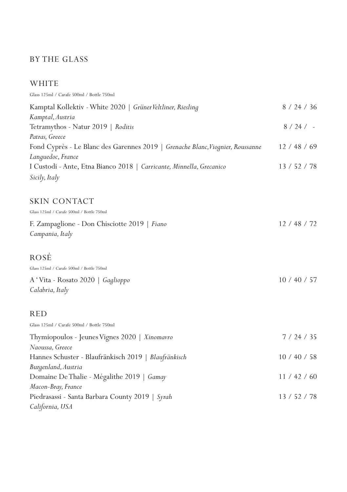#### BY THE GLASS

#### WHITE

| Glass 125ml / Carafe 500ml / Bottle 750ml                                      |              |
|--------------------------------------------------------------------------------|--------------|
| Kamptal Kollektiv - White 2020   Grüner Veltliner, Riesling                    | 8 / 24 / 36  |
| Kamptal, Austria                                                               |              |
| Tetramythos - Natur 2019   Roditis                                             | $8 / 24 / -$ |
| Patras, Greece                                                                 |              |
| Fond Cyprès - Le Blanc des Garennes 2019   Grenache Blanc, Viognier, Roussanne | 12 / 48 / 69 |
| Languedoc, France                                                              |              |
| I Custodi - Ante, Etna Bianco 2018   Carricante, Minnella, Grecanico           | 13 / 52 / 78 |
| Sicily, Italy                                                                  |              |
| SKIN CONTACT                                                                   |              |
| Glass 125ml / Carafe 500ml / Bottle 750ml                                      |              |
| F. Zampaglione - Don Chisciotte 2019   Fiano                                   | 12 / 48 / 72 |
| Campania, Italy                                                                |              |
| ROSÉ                                                                           |              |
| Glass 125ml / Carafe 500ml / Bottle 750ml                                      |              |
| A 'Vita - Rosato 2020   Gaglioppo                                              | 10 / 40 / 57 |
| Calabria, Italy                                                                |              |
| RED                                                                            |              |
| Glass 125ml / Carafe 500ml / Bottle 750ml                                      |              |
| Thymiopoulos - Jeunes Vignes 2020   Xinomavro                                  | 7/24/35      |
| Naoussa, Greece                                                                |              |
| Hannes Schuster - Blaufränkisch 2019   Blaufränkisch                           | 10 / 40 / 58 |
| Burgenland, Austria                                                            |              |
| Domaine De Thalie - Mégalithe 2019   Gamay                                     | 11 / 42 / 60 |
| Macon-Bray, France                                                             |              |
| Piedrasassi - Santa Barbara County 2019   Syrah                                | 13 / 52 / 78 |
| California, USA                                                                |              |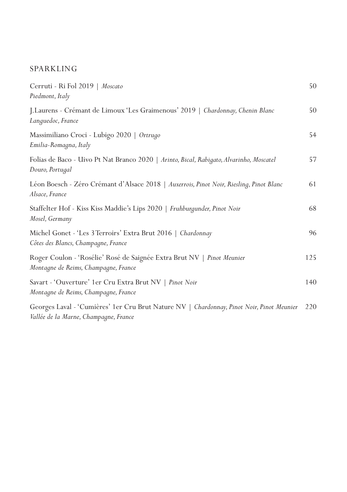#### SPARKLING

| Cerruti - Ri Fol 2019   Moscato<br>Piedmont, Italy                                                                                 | 50  |
|------------------------------------------------------------------------------------------------------------------------------------|-----|
| J.Laurens - Crémant de Limoux 'Les Graimenous' 2019   Chardonnay, Chenin Blanc<br>Languedoc, France                                | 50  |
| Massimiliano Croci - Lubigo 2020   Ortrugo<br>Emilia-Romagna, Italy                                                                | 54  |
| Folias de Baco - Uivo Pt Nat Branco 2020   Arinto, Bical, Rabigato, Alvarinho, Moscatel<br>Douro, Portugal                         | 57  |
| Léon Boesch - Zéro Crémant d'Alsace 2018   Auxerrois, Pinot Noir, Riesling, Pinot Blanc<br>Alsace, France                          | 61  |
| Staffelter Hof - Kiss Kiss Maddie's Lips 2020   Fruhburgunder, Pinot Noir<br>Mosel, Germany                                        | 68  |
| Michel Gonet - 'Les 3 Terroirs' Extra Brut 2016   Chardonnay<br>Côtes des Blancs, Champagne, France                                | 96  |
| Roger Coulon - 'Rosélie' Rosé de Saignée Extra Brut NV   Pinot Meunier<br>Montagne de Reims, Champagne, France                     | 125 |
| Savart - 'Ouverture' 1 er Cru Extra Brut NV   Pinot Noir<br>Montagne de Reims, Champagne, France                                   | 140 |
| Georges Laval - 'Cumières' 1er Cru Brut Nature NV   Chardonnay, Pinot Noir, Pinot Meunier<br>Vallée de la Marne, Champagne, France | 220 |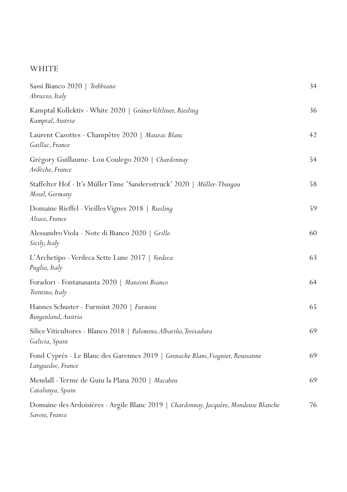#### WHITE

| Sassi Bianco 2020   Trebbiano<br>Abruzzo, Italy                                                        | 34 |
|--------------------------------------------------------------------------------------------------------|----|
| Kamptal Kollektiv - White 2020   Grüner Veltliner, Riesling<br>Kamptal, Austria                        | 36 |
| Laurent Cazottes - Champêtre 2020   Mauzac Blanc<br>Gaillac, France                                    | 42 |
| Grégory Guillaume- Lou Coulego 2020   Chardonnay<br>Ardèche, France                                    | 54 |
| Staffelter Hof - It's Müller Time 'Sandersstruck' 2020   Müller-Thurgau<br>Mosel, Germany              | 58 |
| Domaine Rieffel - Vieilles Vignes 2018   Riesling<br>Alsace, France                                    | 59 |
| Alessandro Viola - Note di Bianco 2020   <i>Grillo</i><br>Sicily, Italy                                | 60 |
| L'Archetipo - Verdeca Sette Lune 2017   Verdeca<br>Puglia, Italy                                       | 63 |
| Foradori - Fontanasanta 2020   Manzoni Bianco<br>Trentino, Italy                                       | 64 |
| Hannes Schuster - Furmint 2020   Furmint<br>Burgenland, Austria                                        | 65 |
| Silice Viticultores - Blanco 2018   Palomino, Albariño, Treixadura<br>Galicia, Spain                   | 69 |
| Fond Cyprès - Le Blanc des Garennes 2019   Grenache Blanc, Viognier, Roussanne<br>Languedoc, France    | 69 |
| Mendall - Terme de Guiu la Plana 2020   <i>Macabeu</i><br>Catalunya, Spain                             | 69 |
| Domaine des Ardoisières - Argile Blanc 2019   Chardonnay, Jacquère, Mondeuse Blanche<br>Savoie, France | 76 |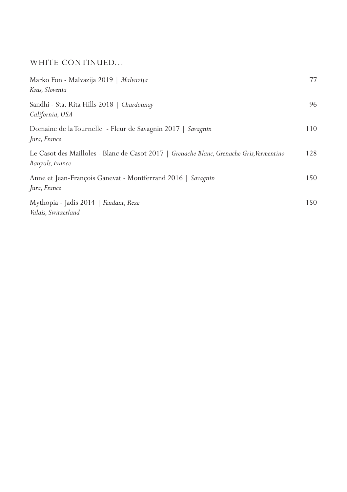## WHITE CONTINUED...

| Marko Fon - Malvazija 2019   Malvazija<br>Kras, Slovenia                                                    | 77  |
|-------------------------------------------------------------------------------------------------------------|-----|
| Sandhi - Sta, Rita Hills 2018   Chardonnay<br>California, USA                                               | 96  |
| Domaine de la Tournelle - Fleur de Savagnin 2017   Savagnin<br>Jura, France                                 | 110 |
| Le Casot des Mailloles - Blanc de Casot 2017   Grenache Blanc, Grenache Gris, Vermentino<br>Banyuls, France | 128 |
| Anne et Jean-François Ganevat - Montferrand 2016   Savagnin<br>Jura, France                                 | 150 |
| Mythopia - Jadis 2014   Fendant, Reze<br>Valais, Switzerland                                                | 150 |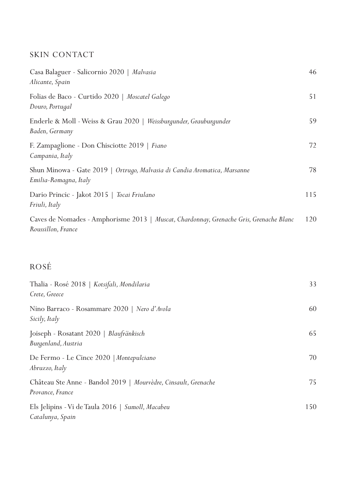## SKIN CONTACT

| Casa Balaguer - Salicornio 2020   Malvasia<br>Alicante, Spain                                                | 46  |
|--------------------------------------------------------------------------------------------------------------|-----|
| Folias de Baco - Curtido 2020   Moscatel Galego<br>Douro, Portugal                                           | 51  |
| Enderle & Moll - Weiss & Grau 2020   Weissburgunder, Grauburgunder<br>Baden, Germany                         | 59  |
| F. Zampaglione - Don Chisciotte 2019   Fiano<br>Campania, Italy                                              | 72  |
| Shun Minowa - Gate 2019   Ortrugo, Malvasia di Candia Aromatica, Marsanne<br>Emilia-Romagna, Italy           | 78  |
| Dario Princic - Jakot 2015   Tocai Friulano<br>Friuli, Italy                                                 | 115 |
| Caves de Nomades - Amphorisme 2013   Muscat, Chardonnay, Grenache Gris, Grenache Blanc<br>Roussillon, France | 120 |

## ROSÉ

| Thalia - Rosé 2018   <i>Kotsifali, Mondilaria</i><br>Crete, Greece                 | 33  |
|------------------------------------------------------------------------------------|-----|
| Nino Barraco - Rosammare 2020   <i>Nero d'Avola</i><br>Sicily, Italy               | 60  |
| Joiseph - Rosatant 2020   Blaufränkisch<br>Burgenland, Austria                     | 65  |
| De Fermo - Le Cince 2020   Montepulciano<br>Abruzzo, Italy                         | 70  |
| Château Ste Anne - Bandol 2019   Mourvèdre, Cinsault, Grenache<br>Provance, France | 75  |
| Els Jelipins - Vi de Taula 2016   Sumoll, Macabeu<br>Catalunya, Spain              | 150 |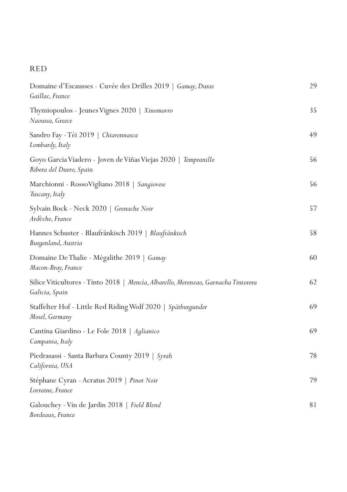## RED

| Domaine d'Escausses - Cuvée des Drilles 2019   <i>Gamay, Duras</i><br>Gaillac, France                       | 29 |
|-------------------------------------------------------------------------------------------------------------|----|
| Thymiopoulos - Jeunes Vignes 2020   Xinomavro<br>Naoussa, Greece                                            | 35 |
| Sandro Fay - Tèi 2019   Chiavennasca<br>Lombardy, Italy                                                     | 49 |
| Goyo Garcia Viadero - Joven de Viñas Viejas 2020   <i>Tempranillo</i><br>Ribera del Duero, Spain            | 56 |
| Marchionni - RossoVigliano 2018   Sangiovese<br>Tuscany, Italy                                              | 56 |
| Sylvain Bock - Neck 2020   <i>Grenache Noir</i><br>Ardèche, France                                          | 57 |
| Hannes Schuster - Blaufränkisch 2019   Blaufränkisch<br>Burgenland, Austria                                 | 58 |
| Domaine De Thalie - Mégalithe 2019   Gamay<br>Macon-Bray, France                                            | 60 |
| Silice Viticultores - Tinto 2018   <i>Mencía, Albarello, Merenzao, Garnacha</i> Tintorera<br>Galicia, Spain | 62 |
| Staffelter Hof - Little Red Riding Wolf 2020   Spätburgunder<br>Mosel, Germany                              | 69 |
| Cantina Giardino - Le Fole 2018   Aglianico<br>Campania, Italy                                              | 69 |
| Piedrasassi - Santa Barbara County 2019   <i>Syrah</i><br>California, USA                                   | 78 |
| Stéphane Cyran - Acratus 2019   <i>Pinot Noir</i><br>Lorraine, France                                       | 79 |
| Galouchey - Vin de Jardin 2018   Field Blend<br>Bordeaux, France                                            | 81 |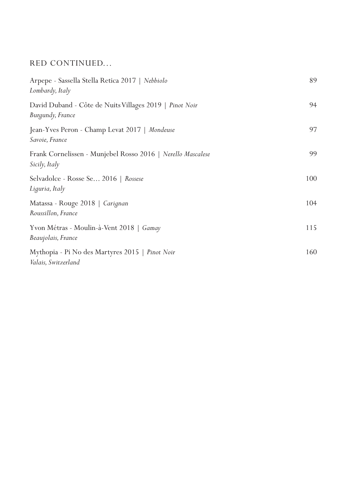## RED CONTINUED...

| Arpepe - Sassella Stella Retica 2017   Nebbiolo<br>Lombardy, Italy           | 89  |
|------------------------------------------------------------------------------|-----|
| David Duband - Côte de Nuits Villages 2019   Pinot Noir<br>Burgundy, France  | 94  |
| Jean-Yves Peron - Champ Levat 2017   Mondeuse<br>Savoie, France              | 97  |
| Frank Cornelissen - Munjebel Rosso 2016   Nerello Mascalese<br>Sicily, Italy | 99  |
| Selvadolce - Rosse Se 2016   Rossese<br>Liguria, Italy                       | 100 |
| Matassa - Rouge 2018   Carignan<br>Roussillon, France                        | 104 |
| Yvon Métras - Moulin-à-Vent 2018   Gamay<br>Beaujolais, France               | 115 |
| Mythopia - Pi No des Martyres 2015   Pinot Noir<br>Valais, Switzerland       | 160 |